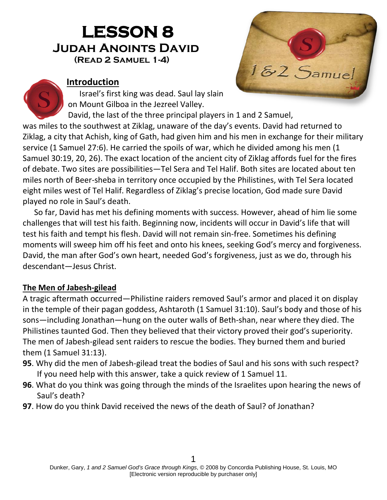# **LESSON 8 Judah Anoints David(Read 2 Samuel 1-4)**



#### **Introduction**

Israel's first king was dead. Saul lay slain on Mount Gilboa in the Jezreel Valley.

David, the last of the three principal players in 1 and 2 Samuel,

was miles to the southwest at Ziklag, unaware of the day's events. David had returned to Ziklag, a city that Achish, king of Gath, had given him and his men in exchange for their military service (1 Samuel 27:6). He carried the spoils of war, which he divided among his men (1 Samuel 30:19, 20, 26). The exact location of the ancient city of Ziklag affords fuel for the fires of debate. Two sites are possibilities—Tel Sera and Tel Halif. Both sites are located about ten miles north of Beer-sheba in territory once occupied by the Philistines, with Tel Sera located eight miles west of Tel Halif. Regardless of Ziklag's precise location, God made sure David played no role in Saul's death.

So far, David has met his defining moments with success. However, ahead of him lie some challenges that will test his faith. Beginning now, incidents will occur in David's life that will test his faith and tempt his flesh. David will not remain sin-free. Sometimes his defining moments will sweep him off his feet and onto his knees, seeking God's mercy and forgiveness. David, the man after God's own heart, needed God's forgiveness, just as we do, through his descendant—Jesus Christ.

#### **The Men of Jabesh-gilead**

A tragic aftermath occurred—Philistine raiders removed Saul's armor and placed it on display in the temple of their pagan goddess, Ashtaroth (1 Samuel 31:10). Saul's body and those of his sons—including Jonathan—hung on the outer walls of Beth-shan, near where they died. The Philistines taunted God. Then they believed that their victory proved their god's superiority. The men of Jabesh-gilead sent raiders to rescue the bodies. They burned them and buried them (1 Samuel 31:13).

- **95**. Why did the men of Jabesh-gilead treat the bodies of Saul and his sons with such respect? If you need help with this answer, take a quick review of 1 Samuel 11.
- **96**. What do you think was going through the minds of the Israelites upon hearing the news of Saul's death?
- **97**. How do you think David received the news of the death of Saul? of Jonathan?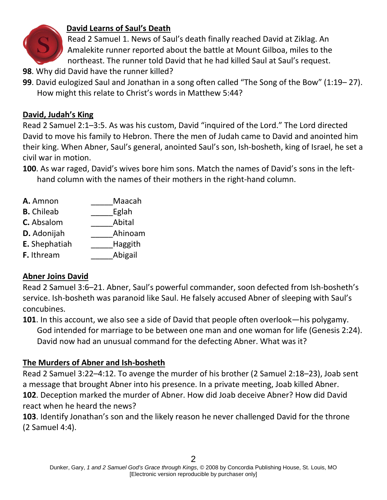

# **David Learns of Saul's Death**

Read 2 Samuel 1. News of Saul's death finally reached David at Ziklag. An Amalekite runner reported about the battle at Mount Gilboa, miles to the northeast. The runner told David that he had killed Saul at Saul's request.

- **98**. Why did David have the runner killed?
- **99**. David eulogized Saul and Jonathan in a song often called "The Song of the Bow" (1:19– 27). How might this relate to Christ's words in Matthew 5:44?

# **David, Judah's King**

Read 2 Samuel 2:1–3:5. As was his custom, David "inquired of the Lord." The Lord directed David to move his family to Hebron. There the men of Judah came to David and anointed him their king. When Abner, Saul's general, anointed Saul's son, Ish-bosheth, king of Israel, he set a civil war in motion.

- **100**. As war raged, David's wives bore him sons. Match the names of David's sons in the lefthand column with the names of their mothers in the right-hand column.
- **A.** Amnon Maacah
- **B.** Chileab **Eglah**
- **C.** Absalom Abital
- **D.** Adonijah **Ahinoam**
- **E.** Shephatiah **Haggith**
- **F.** Ithream Abigail

# **Abner Joins David**

Read 2 Samuel 3:6–21. Abner, Saul's powerful commander, soon defected from Ish-bosheth's service. Ish-bosheth was paranoid like Saul. He falsely accused Abner of sleeping with Saul's concubines.

**101**. In this account, we also see a side of David that people often overlook—his polygamy. God intended for marriage to be between one man and one woman for life (Genesis 2:24). David now had an unusual command for the defecting Abner. What was it?

# **The Murders of Abner and Ish-bosheth**

Read 2 Samuel 3:22–4:12. To avenge the murder of his brother (2 Samuel 2:18–23), Joab sent a message that brought Abner into his presence. In a private meeting, Joab killed Abner. **102**. Deception marked the murder of Abner. How did Joab deceive Abner? How did David react when he heard the news?

**103**. Identify Jonathan's son and the likely reason he never challenged David for the throne (2 Samuel 4:4).